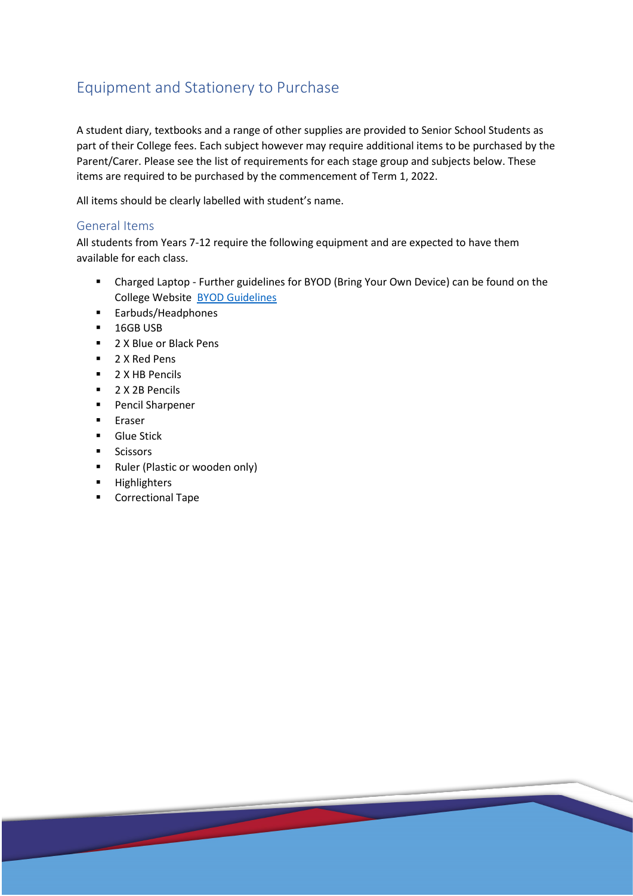# Equipment and Stationery to Purchase

A student diary, textbooks and a range of other supplies are provided to Senior School Students as part of their College fees. Each subject however may require additional items to be purchased by the Parent/Carer. Please see the list of requirements for each stage group and subjects below. These items are required to be purchased by the commencement of Term 1, 2022.

All items should be clearly labelled with student's name.

#### General Items

All students from Years 7-12 require the following equipment and are expected to have them available for each class.

- Charged Laptop Further guidelines for BYOD (Bring Your Own Device) can be found on the College Website [BYOD Guidelines](https://www.opac.nsw.edu.au/current-students-2/senior-school-information-and-links/)
- **Earbuds/Headphones**
- **16GB USB**
- 2 X Blue or Black Pens
- 2 X Red Pens
- **2 X HB Pencils**
- 2 X 2B Pencils
- **Pencil Sharpener**
- **Eraser**
- **Glue Stick**
- **Scissors**
- **Ruler (Plastic or wooden only)**

<u>and</u>

- **Highlighters**
- **Correctional Tape**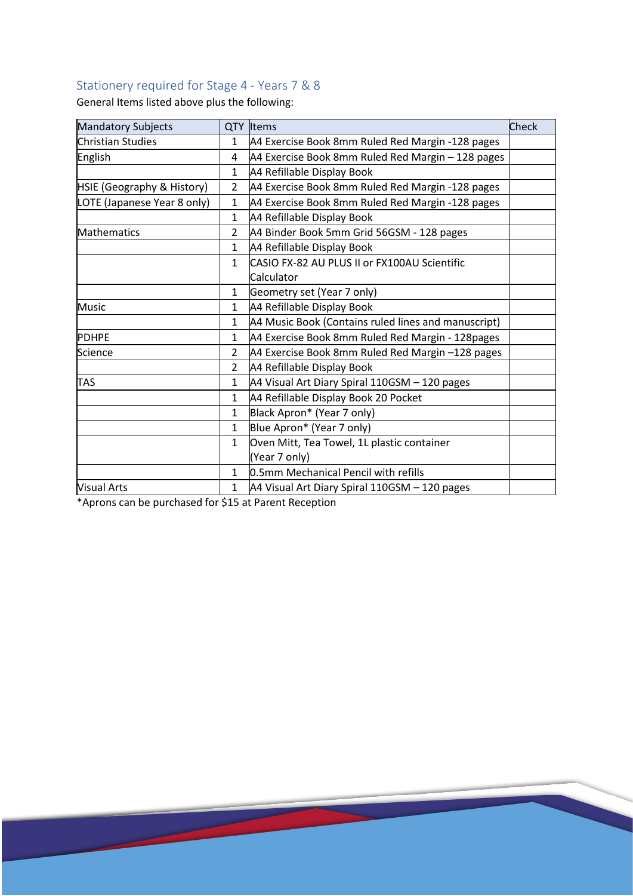## Stationery required for Stage 4 - Years 7 & 8

General Items listed above plus the following:

| <b>Mandatory Subjects</b>   |                | QTY Items                                           | Check |
|-----------------------------|----------------|-----------------------------------------------------|-------|
| <b>Christian Studies</b>    | $\mathbf{1}$   | A4 Exercise Book 8mm Ruled Red Margin -128 pages    |       |
| English                     | 4              | A4 Exercise Book 8mm Ruled Red Margin - 128 pages   |       |
|                             | $\mathbf{1}$   | A4 Refillable Display Book                          |       |
| HSIE (Geography & History)  | $\overline{2}$ | A4 Exercise Book 8mm Ruled Red Margin -128 pages    |       |
| LOTE (Japanese Year 8 only) | $\mathbf{1}$   | A4 Exercise Book 8mm Ruled Red Margin -128 pages    |       |
|                             | $\mathbf{1}$   | A4 Refillable Display Book                          |       |
| Mathematics                 | $\overline{2}$ | A4 Binder Book 5mm Grid 56GSM - 128 pages           |       |
|                             | $\mathbf{1}$   | A4 Refillable Display Book                          |       |
|                             | $\mathbf{1}$   | CASIO FX-82 AU PLUS II or FX100AU Scientific        |       |
|                             |                | Calculator                                          |       |
|                             | $\mathbf{1}$   | Geometry set (Year 7 only)                          |       |
| <b>Music</b>                | $\mathbf{1}$   | A4 Refillable Display Book                          |       |
|                             | $\mathbf{1}$   | A4 Music Book (Contains ruled lines and manuscript) |       |
| <b>PDHPE</b>                | $\mathbf{1}$   | A4 Exercise Book 8mm Ruled Red Margin - 128pages    |       |
| Science                     | 2              | A4 Exercise Book 8mm Ruled Red Margin -128 pages    |       |
|                             | $\mathfrak{D}$ | A4 Refillable Display Book                          |       |
| <b>TAS</b>                  | $\mathbf{1}$   | A4 Visual Art Diary Spiral 110GSM - 120 pages       |       |
|                             | $\mathbf{1}$   | A4 Refillable Display Book 20 Pocket                |       |
|                             | $\mathbf{1}$   | Black Apron* (Year 7 only)                          |       |
|                             | $\mathbf{1}$   | Blue Apron* (Year 7 only)                           |       |
|                             | $\mathbf{1}$   | Oven Mitt, Tea Towel, 1L plastic container          |       |
|                             |                | (Year 7 only)                                       |       |
|                             | $\mathbf{1}$   | 0.5mm Mechanical Pencil with refills                |       |
| <b>Visual Arts</b>          | $\mathbf{1}$   | A4 Visual Art Diary Spiral 110GSM - 120 pages       |       |

\*Aprons can be purchased for \$15 at Parent Reception

<u> a shekara t</u>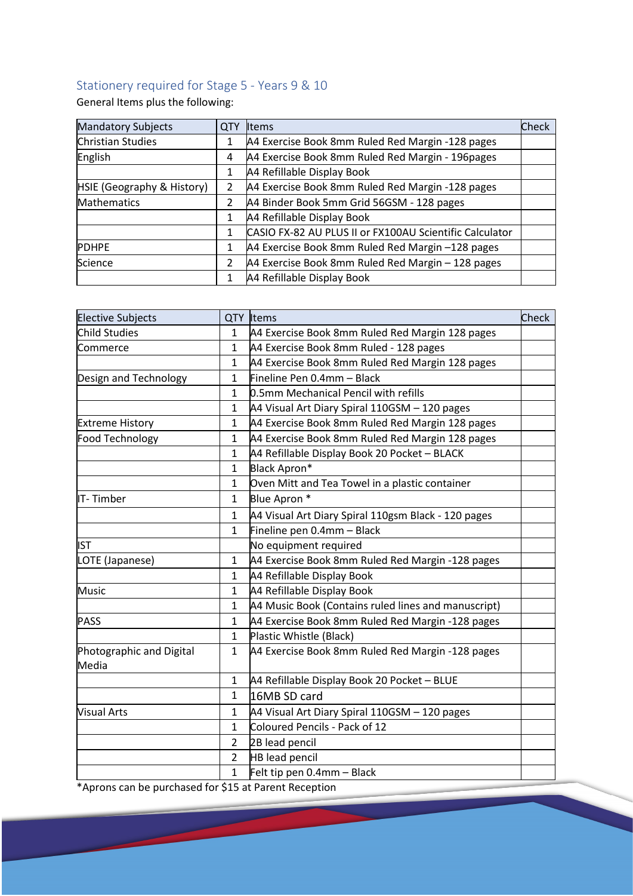## Stationery required for Stage 5 - Years 9 & 10

General Items plus the following:

| <b>Mandatory Subjects</b>  | <b>QTY</b> | Items                                                   | Check |
|----------------------------|------------|---------------------------------------------------------|-------|
| <b>Christian Studies</b>   |            | A4 Exercise Book 8mm Ruled Red Margin -128 pages        |       |
| English                    | 4          | A4 Exercise Book 8mm Ruled Red Margin - 196pages        |       |
|                            |            | A4 Refillable Display Book                              |       |
| HSIE (Geography & History) | 2          | A4 Exercise Book 8mm Ruled Red Margin -128 pages        |       |
| Mathematics                | 2          | A4 Binder Book 5mm Grid 56GSM - 128 pages               |       |
|                            |            | A4 Refillable Display Book                              |       |
|                            |            | CASIO FX-82 AU PLUS II or FX100AU Scientific Calculator |       |
| <b>PDHPE</b>               |            | A4 Exercise Book 8mm Ruled Red Margin -128 pages        |       |
| Science                    | 2          | A4 Exercise Book 8mm Ruled Red Margin - 128 pages       |       |
|                            |            | A4 Refillable Display Book                              |       |

| <b>Elective Subjects</b>          |                | QTY Items                                           | Check |
|-----------------------------------|----------------|-----------------------------------------------------|-------|
| Child Studies                     | $\mathbf{1}$   | A4 Exercise Book 8mm Ruled Red Margin 128 pages     |       |
| Commerce                          | $\mathbf{1}$   | A4 Exercise Book 8mm Ruled - 128 pages              |       |
|                                   | $\mathbf{1}$   | A4 Exercise Book 8mm Ruled Red Margin 128 pages     |       |
| Design and Technology             | $\mathbf{1}$   | Fineline Pen 0.4mm - Black                          |       |
|                                   | $\mathbf{1}$   | 0.5mm Mechanical Pencil with refills                |       |
|                                   | 1              | A4 Visual Art Diary Spiral 110GSM - 120 pages       |       |
| <b>Extreme History</b>            | 1              | A4 Exercise Book 8mm Ruled Red Margin 128 pages     |       |
| Food Technology                   | 1              | A4 Exercise Book 8mm Ruled Red Margin 128 pages     |       |
|                                   | $\mathbf{1}$   | A4 Refillable Display Book 20 Pocket - BLACK        |       |
|                                   | $\mathbf{1}$   | Black Apron*                                        |       |
|                                   | 1              | Oven Mitt and Tea Towel in a plastic container      |       |
| IT-Timber                         | 1              | Blue Apron *                                        |       |
|                                   | 1              | A4 Visual Art Diary Spiral 110gsm Black - 120 pages |       |
|                                   | $\mathbf{1}$   | Fineline pen 0.4mm - Black                          |       |
| <b>IST</b>                        |                | No equipment required                               |       |
| LOTE (Japanese)                   | $\mathbf{1}$   | A4 Exercise Book 8mm Ruled Red Margin -128 pages    |       |
|                                   | $\mathbf{1}$   | A4 Refillable Display Book                          |       |
| <b>Music</b>                      | 1              | A4 Refillable Display Book                          |       |
|                                   | $\mathbf{1}$   | A4 Music Book (Contains ruled lines and manuscript) |       |
| <b>PASS</b>                       | $\mathbf{1}$   | A4 Exercise Book 8mm Ruled Red Margin -128 pages    |       |
|                                   | $\mathbf{1}$   | Plastic Whistle (Black)                             |       |
| Photographic and Digital<br>Media | $\mathbf{1}$   | A4 Exercise Book 8mm Ruled Red Margin -128 pages    |       |
|                                   | $\mathbf{1}$   | A4 Refillable Display Book 20 Pocket - BLUE         |       |
|                                   | $\mathbf{1}$   | 16MB SD card                                        |       |
| <b>Visual Arts</b>                | $\mathbf{1}$   | A4 Visual Art Diary Spiral 110GSM - 120 pages       |       |
|                                   | $\mathbf{1}$   | Coloured Pencils - Pack of 12                       |       |
|                                   | $\overline{2}$ | 2B lead pencil                                      |       |
|                                   | $\overline{2}$ | <b>HB lead pencil</b>                               |       |
|                                   | 1              | Felt tip pen 0.4mm - Black                          |       |

\*Aprons can be purchased for \$15 at Parent Reception